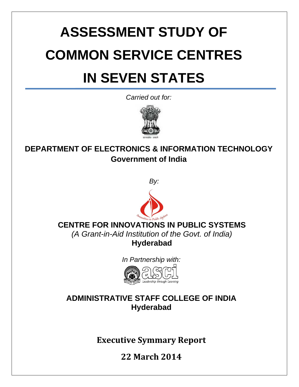# **ASSESSMENT STUDY OF COMMON SERVICE CENTRES IN SEVEN STATES**

*Carried out for:* 



# **DEPARTMENT OF ELECTRONICS & INFORMATION TECHNOLOGY Government of India**





# **CENTRE FOR INNOVATIONS IN PUBLIC SYSTEMS**

*(A Grant-in-Aid Institution of the Govt. of India)*  **Hyderabad** 

*In Partnership with:* 



## **ADMINISTRATIVE STAFF COLLEGE OF INDIA Hyderabad**

**Executive Symmary Report**

1 **22 March 2014**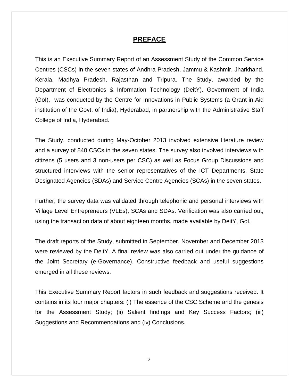#### **PREFACE**

This is an Executive Summary Report of an Assessment Study of the Common Service Centres (CSCs) in the seven states of Andhra Pradesh, Jammu & Kashmir, Jharkhand, Kerala, Madhya Pradesh, Rajasthan and Tripura. The Study, awarded by the Department of Electronics & Information Technology (DeitY), Government of India (GoI), was conducted by the Centre for Innovations in Public Systems (a Grant-in-Aid institution of the Govt. of India), Hyderabad, in partnership with the Administrative Staff College of India, Hyderabad.

The Study, conducted during May-October 2013 involved extensive literature review and a survey of 840 CSCs in the seven states. The survey also involved interviews with citizens (5 users and 3 non-users per CSC) as well as Focus Group Discussions and structured interviews with the senior representatives of the ICT Departments, State Designated Agencies (SDAs) and Service Centre Agencies (SCAs) in the seven states.

Further, the survey data was validated through telephonic and personal interviews with Village Level Entrepreneurs (VLEs), SCAs and SDAs. Verification was also carried out, using the transaction data of about eighteen months, made available by DeitY, GoI.

The draft reports of the Study, submitted in September, November and December 2013 were reviewed by the DeitY. A final review was also carried out under the guidance of the Joint Secretary (e-Governance). Constructive feedback and useful suggestions emerged in all these reviews.

This Executive Summary Report factors in such feedback and suggestions received. It contains in its four major chapters: (i) The essence of the CSC Scheme and the genesis for the Assessment Study; (ii) Salient findings and Key Success Factors; (iii) Suggestions and Recommendations and (iv) Conclusions.

2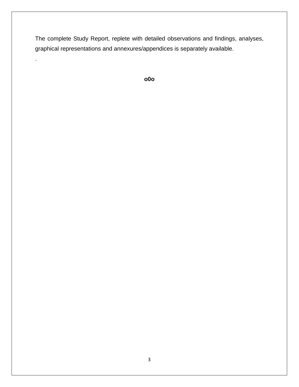The complete Study Report, replete with detailed observations and findings, analyses, graphical representations and annexures/appendices is separately available.

.

```
o0o
```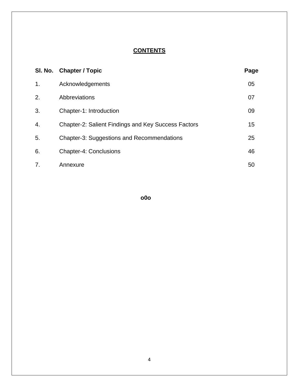#### **CONTENTS**

|    | SI. No. Chapter / Topic                                    | Page |
|----|------------------------------------------------------------|------|
| 1. | Acknowledgements                                           | 05   |
| 2. | Abbreviations                                              | 07   |
| 3. | Chapter-1: Introduction                                    | 09   |
| 4. | <b>Chapter-2: Salient Findings and Key Success Factors</b> | 15   |
| 5. | <b>Chapter-3: Suggestions and Recommendations</b>          | 25   |
| 6. | <b>Chapter-4: Conclusions</b>                              | 46   |
| 7. | Annexure                                                   | 50   |

**o0o**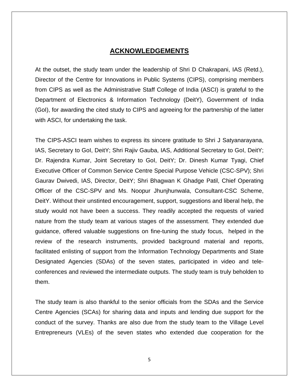#### **ACKNOWLEDGEMENTS**

At the outset, the study team under the leadership of Shri D Chakrapani, IAS (Retd.), Director of the Centre for Innovations in Public Systems (CIPS), comprising members from CIPS as well as the Administrative Staff College of India (ASCI) is grateful to the Department of Electronics & Information Technology (DeitY), Government of India (GoI), for awarding the cited study to CIPS and agreeing for the partnership of the latter with ASCI, for undertaking the task.

The CIPS-ASCI team wishes to express its sincere gratitude to Shri J Satyanarayana, IAS, Secretary to GoI, DeitY; Shri Rajiv Gauba, IAS, Additional Secretary to GoI, DeitY; Dr. Rajendra Kumar, Joint Secretary to GoI, DeitY; Dr. Dinesh Kumar Tyagi, Chief Executive Officer of Common Service Centre Special Purpose Vehicle (CSC-SPV); Shri Gaurav Dwivedi, IAS, Director, DeitY; Shri Bhagwan K Ghadge Patil, Chief Operating Officer of the CSC-SPV and Ms. Noopur Jhunjhunwala, Consultant-CSC Scheme, DeitY. Without their unstinted encouragement, support, suggestions and liberal help, the study would not have been a success. They readily accepted the requests of varied nature from the study team at various stages of the assessment. They extended due guidance, offered valuable suggestions on fine-tuning the study focus, helped in the review of the research instruments, provided background material and reports, facilitated enlisting of support from the Information Technology Departments and State Designated Agencies (SDAs) of the seven states, participated in video and teleconferences and reviewed the intermediate outputs. The study team is truly beholden to them.

The study team is also thankful to the senior officials from the SDAs and the Service Centre Agencies (SCAs) for sharing data and inputs and lending due support for the conduct of the survey. Thanks are also due from the study team to the Village Level Entrepreneurs (VLEs) of the seven states who extended due cooperation for the

5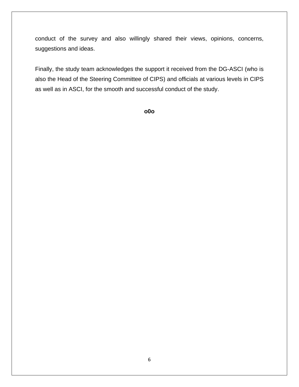conduct of the survey and also willingly shared their views, opinions, concerns, suggestions and ideas.

Finally, the study team acknowledges the support it received from the DG-ASCI (who is also the Head of the Steering Committee of CIPS) and officials at various levels in CIPS as well as in ASCI, for the smooth and successful conduct of the study.

**o0o**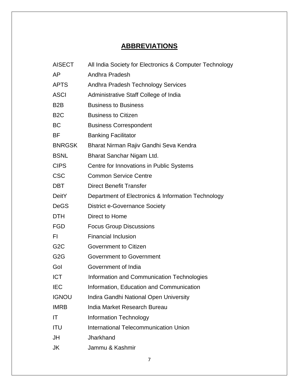## **ABBREVIATIONS**

| <b>AISECT</b>    | All India Society for Electronics & Computer Technology |  |  |
|------------------|---------------------------------------------------------|--|--|
| AP               | Andhra Pradesh                                          |  |  |
| <b>APTS</b>      | Andhra Pradesh Technology Services                      |  |  |
| <b>ASCI</b>      | Administrative Staff College of India                   |  |  |
| B <sub>2</sub> B | <b>Business to Business</b>                             |  |  |
| B <sub>2</sub> C | <b>Business to Citizen</b>                              |  |  |
| ВC               | <b>Business Correspondent</b>                           |  |  |
| BF               | <b>Banking Facilitator</b>                              |  |  |
| <b>BNRGSK</b>    | Bharat Nirman Rajiv Gandhi Seva Kendra                  |  |  |
| <b>BSNL</b>      | Bharat Sanchar Nigam Ltd.                               |  |  |
| <b>CIPS</b>      | Centre for Innovations in Public Systems                |  |  |
| <b>CSC</b>       | <b>Common Service Centre</b>                            |  |  |
| <b>DBT</b>       | <b>Direct Benefit Transfer</b>                          |  |  |
| <b>DeitY</b>     | Department of Electronics & Information Technology      |  |  |
| <b>DeGS</b>      | <b>District e-Governance Society</b>                    |  |  |
| <b>DTH</b>       | Direct to Home                                          |  |  |
| <b>FGD</b>       | <b>Focus Group Discussions</b>                          |  |  |
| FI.              | <b>Financial Inclusion</b>                              |  |  |
| G <sub>2</sub> C | Government to Citizen                                   |  |  |
| G <sub>2</sub> G | <b>Government to Government</b>                         |  |  |
| Gol              | Government of India                                     |  |  |
| <b>ICT</b>       | Information and Communication Technologies              |  |  |
| <b>IEC</b>       | Information, Education and Communication                |  |  |
| <b>IGNOU</b>     | Indira Gandhi National Open University                  |  |  |
| <b>IMRB</b>      | India Market Research Bureau                            |  |  |
| IT               | <b>Information Technology</b>                           |  |  |
| <b>ITU</b>       | <b>International Telecommunication Union</b>            |  |  |
| JH               | Jharkhand                                               |  |  |
| JK               | Jammu & Kashmir                                         |  |  |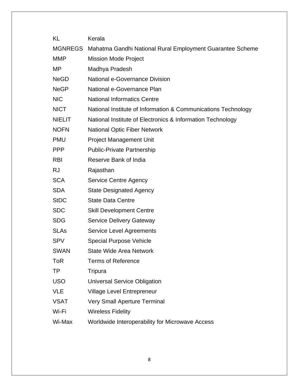| KL             | Kerala                                                        |
|----------------|---------------------------------------------------------------|
| <b>MGNREGS</b> | Mahatma Gandhi National Rural Employment Guarantee Scheme     |
| <b>MMP</b>     | <b>Mission Mode Project</b>                                   |
| MP             | Madhya Pradesh                                                |
| <b>NeGD</b>    | National e-Governance Division                                |
| <b>NeGP</b>    | National e-Governance Plan                                    |
| <b>NIC</b>     | <b>National Informatics Centre</b>                            |
| <b>NICT</b>    | National Institute of Information & Communications Technology |
| <b>NIELIT</b>  | National Institute of Electronics & Information Technology    |
| <b>NOFN</b>    | <b>National Optic Fiber Network</b>                           |
| <b>PMU</b>     | <b>Project Management Unit</b>                                |
| <b>PPP</b>     | <b>Public-Private Partnership</b>                             |
| <b>RBI</b>     | Reserve Bank of India                                         |
| <b>RJ</b>      | Rajasthan                                                     |
| <b>SCA</b>     | <b>Service Centre Agency</b>                                  |
| <b>SDA</b>     | <b>State Designated Agency</b>                                |
| <b>StDC</b>    | <b>State Data Centre</b>                                      |
| <b>SDC</b>     | <b>Skill Development Centre</b>                               |
| <b>SDG</b>     | <b>Service Delivery Gateway</b>                               |
| <b>SLAs</b>    | <b>Service Level Agreements</b>                               |
| <b>SPV</b>     | <b>Special Purpose Vehicle</b>                                |
| <b>SWAN</b>    | <b>State Wide Area Network</b>                                |
| <b>ToR</b>     | <b>Terms of Reference</b>                                     |
| TP             | Tripura                                                       |
| <b>USO</b>     | <b>Universal Service Obligation</b>                           |
| <b>VLE</b>     | <b>Village Level Entrepreneur</b>                             |
| <b>VSAT</b>    | <b>Very Small Aperture Terminal</b>                           |
| Wi-Fi          | <b>Wireless Fidelity</b>                                      |
| Wi-Max         | Worldwide Interoperability for Microwave Access               |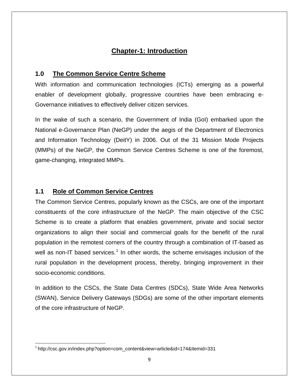## **Chapter-1: Introduction**

#### **1.0 The Common Service Centre Scheme**

With information and communication technologies (ICTs) emerging as a powerful enabler of development globally, progressive countries have been embracing e-Governance initiatives to effectively deliver citizen services.

In the wake of such a scenario, the Government of India (GoI) embarked upon the National e-Governance Plan (NeGP) under the aegis of the Department of Electronics and Information Technology (DeitY) in 2006. Out of the 31 Mission Mode Projects (MMPs) of the NeGP, the Common Service Centres Scheme is one of the foremost, game-changing, integrated MMPs.

#### **1.1 Role of Common Service Centres**

The Common Service Centres, popularly known as the CSCs, are one of the important constituents of the core infrastructure of the NeGP. The main objective of the CSC Scheme is to create a platform that enables government, private and social sector organizations to align their social and commercial goals for the benefit of the rural population in the remotest corners of the country through a combination of IT-based as well as non-IT based services.<sup>[1](#page-8-0)</sup> In other words, the scheme envisages inclusion of the rural population in the development process, thereby, bringing improvement in their socio-economic conditions.

In addition to the CSCs, the State Data Centres (SDCs), State Wide Area Networks (SWAN), Service Delivery Gateways (SDGs) are some of the other important elements of the core infrastructure of NeGP.

<span id="page-8-0"></span><sup>1</sup> http://csc.gov.in/index.php?option=com\_content&view=article&id=174&Itemid=331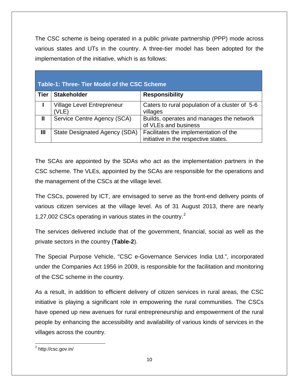The CSC scheme is being operated in a public private partnership (PPP) mode across various states and UTs in the country. A three-tier model has been adopted for the implementation of the initiative, which is as follows:

| Table-1: Three- Tier Model of the CSC Scheme |                                            |                                                                               |  |
|----------------------------------------------|--------------------------------------------|-------------------------------------------------------------------------------|--|
| <b>Tier</b>                                  | <b>Stakeholder</b>                         | <b>Responsibility</b>                                                         |  |
|                                              | <b>Village Level Entrepreneur</b><br>(VLE) | Caters to rural population of a cluster of 5-6<br>villages                    |  |
| $\mathbf l$                                  | Service Centre Agency (SCA)                | Builds, operates and manages the network<br>of VLEs and business              |  |
| Ш                                            | State Designated Agency (SDA)              | Facilitates the implementation of the<br>initiative in the respective states. |  |

The SCAs are appointed by the SDAs who act as the implementation partners in the CSC scheme. The VLEs, appointed by the SCAs are responsible for the operations and the management of the CSCs at the village level.

The CSCs, powered by ICT, are envisaged to serve as the front-end delivery points of various citizen services at the village level. As of 31 August 2013, there are nearly 1,[2](#page-9-0)7,002 CSCs operating in various states in the country.<sup>2</sup>

The services delivered include that of the government, financial, social as well as the private sectors in the country (**Table-2**).

The Special Purpose Vehicle, "CSC e-Governance Services India Ltd.", incorporated under the Companies Act 1956 in 2009, is responsible for the facilitation and monitoring of the CSC scheme in the country.

As a result, in addition to efficient delivery of citizen services in rural areas, the CSC initiative is playing a significant role in empowering the rural communities. The CSCs have opened up new avenues for rural entrepreneurship and empowerment of the rural people by enhancing the accessibility and availability of various kinds of services in the villages across the country.

<span id="page-9-0"></span> <sup>2</sup> http://csc.gov.in/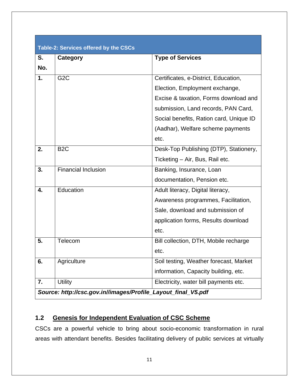| Table-2: Services offered by the CSCs                         |                            |                                         |  |
|---------------------------------------------------------------|----------------------------|-----------------------------------------|--|
| S.                                                            | Category                   | <b>Type of Services</b>                 |  |
| No.                                                           |                            |                                         |  |
| 1.                                                            | G <sub>2</sub> C           | Certificates, e-District, Education,    |  |
|                                                               |                            | Election, Employment exchange,          |  |
|                                                               |                            | Excise & taxation, Forms download and   |  |
|                                                               |                            | submission, Land records, PAN Card,     |  |
|                                                               |                            | Social benefits, Ration card, Unique ID |  |
|                                                               |                            | (Aadhar), Welfare scheme payments       |  |
|                                                               |                            | etc.                                    |  |
| 2.                                                            | B <sub>2</sub> C           | Desk-Top Publishing (DTP), Stationery,  |  |
|                                                               |                            | Ticketing - Air, Bus, Rail etc.         |  |
| 3.                                                            | <b>Financial Inclusion</b> | Banking, Insurance, Loan                |  |
|                                                               |                            | documentation, Pension etc.             |  |
| 4.                                                            | Education                  | Adult literacy, Digital literacy,       |  |
|                                                               |                            | Awareness programmes, Facilitation,     |  |
|                                                               |                            | Sale, download and submission of        |  |
|                                                               |                            | application forms, Results download     |  |
|                                                               |                            | etc.                                    |  |
| 5.                                                            | Telecom                    | Bill collection, DTH, Mobile recharge   |  |
|                                                               |                            | etc.                                    |  |
| 6.                                                            | Agriculture                | Soil testing, Weather forecast, Market  |  |
|                                                               |                            | information, Capacity building, etc.    |  |
| 7.                                                            | <b>Utility</b>             | Electricity, water bill payments etc.   |  |
| Source: http://csc.gov.in//images/Profile_Layout_final_V5.pdf |                            |                                         |  |

### **1.2 Genesis for Independent Evaluation of CSC Scheme**

CSCs are a powerful vehicle to bring about socio-economic transformation in rural areas with attendant benefits. Besides facilitating delivery of public services at virtually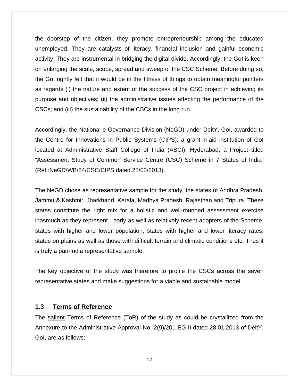the doorstep of the citizen, they promote entrepreneurship among the educated unemployed. They are catalysts of literacy, financial inclusion and gainful economic activity. They are instrumental in bridging the digital divide. Accordingly, the GoI is keen on enlarging the scale, scope, spread and sweep of the CSC Scheme. Before doing so, the GoI rightly felt that it would be in the fitness of things to obtain meaningful pointers as regards (i) the nature and extent of the success of the CSC project in achieving its purpose and objectives; (ii) the administrative issues affecting the performance of the CSCs; and (iii) the sustainability of the CSCs in the long run.

Accordingly, the National e-Governance Division (NeGD) under DeitY, GoI, awarded to the Centre for Innovations in Public Systems (CIPS), a grant-in-aid institution of GoI located at Administrative Staff College of India (ASCI), Hyderabad, a Project titled "Assessment Study of Common Service Centre (CSC) Scheme in 7 States of India" (Ref.:NeGD/WB/84/CSC/CIPS dated 25/03/2013).

The NeGD chose as representative sample for the study, the states of Andhra Pradesh, Jammu & Kashmir, Jharkhand, Kerala, Madhya Pradesh, Rajasthan and Tripura. These states constitute the right mix for a holistic and well-rounded assessment exercise inasmuch as they represent - early as well as relatively recent adopters of the Scheme, states with higher and lower population, states with higher and lower literacy rates, states on plains as well as those with difficult terrain and climatic conditions etc. Thus it is truly a pan-India representative sample.

The key objective of the study was therefore to profile the CSCs across the seven representative states and make suggestions for a viable and sustainable model.

#### **1.3 Terms of Reference**

The salient Terms of Reference (ToR) of the study as could be crystallized from the Annexure to the Administrative Approval No. 2(9)/201-EG-II dated 28.01.2013 of DeitY, GoI, are as follows:

12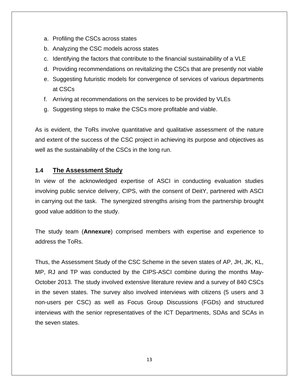- a. Profiling the CSCs across states
- b. Analyzing the CSC models across states
- c. Identifying the factors that contribute to the financial sustainability of a VLE
- d. Providing recommendations on revitalizing the CSCs that are presently not viable
- e. Suggesting futuristic models for convergence of services of various departments at CSCs
- f. Arriving at recommendations on the services to be provided by VLEs
- g. Suggesting steps to make the CSCs more profitable and viable.

As is evident, the ToRs involve quantitative and qualitative assessment of the nature and extent of the success of the CSC project in achieving its purpose and objectives as well as the sustainability of the CSCs in the long run.

#### **1.4 The Assessment Study**

In view of the acknowledged expertise of ASCI in conducting evaluation studies involving public service delivery, CIPS, with the consent of DeitY, partnered with ASCI in carrying out the task. The synergized strengths arising from the partnership brought good value addition to the study.

The study team (**Annexure**) comprised members with expertise and experience to address the ToRs.

Thus, the Assessment Study of the CSC Scheme in the seven states of AP, JH, JK, KL, MP, RJ and TP was conducted by the CIPS-ASCI combine during the months May-October 2013. The study involved extensive literature review and a survey of 840 CSCs in the seven states. The survey also involved interviews with citizens (5 users and 3 non-users per CSC) as well as Focus Group Discussions (FGDs) and structured interviews with the senior representatives of the ICT Departments, SDAs and SCAs in the seven states.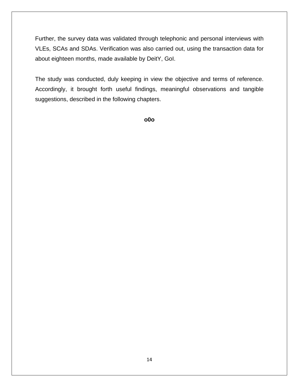Further, the survey data was validated through telephonic and personal interviews with VLEs, SCAs and SDAs. Verification was also carried out, using the transaction data for about eighteen months, made available by DeitY, GoI.

The study was conducted, duly keeping in view the objective and terms of reference. Accordingly, it brought forth useful findings, meaningful observations and tangible suggestions, described in the following chapters.

**o0o**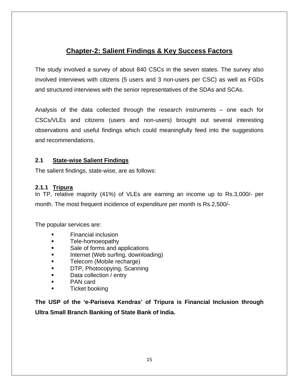## **Chapter-2: Salient Findings & Key Success Factors**

The study involved a survey of about 840 CSCs in the seven states. The survey also involved interviews with citizens (5 users and 3 non-users per CSC) as well as FGDs and structured interviews with the senior representatives of the SDAs and SCAs.

Analysis of the data collected through the research instruments – one each for CSCs/VLEs and citizens (users and non-users) brought out several interesting observations and useful findings which could meaningfully feed into the suggestions and recommendations.

#### **2.1 State-wise Salient Findings**

The salient findings, state-wise, are as follows:

#### **2.1.1 Tripura**

In TP, relative majority (41%) of VLEs are earning an income up to Rs.3,000/- per month. The most frequent incidence of expenditure per month is Rs.2,500/-

The popular services are:

- Financial inclusion
- **Example Tele-homoeopathy**
- **Sale of forms and applications**
- **Internet (Web surfing, downloading)**
- **Telecom (Mobile recharge)**
- **DTP, Photocopying, Scanning**
- **Data collection / entry**
- PAN card
- Ticket booking

**The USP of the 'e-Pariseva Kendras' of Tripura is Financial Inclusion through Ultra Small Branch Banking of State Bank of India.**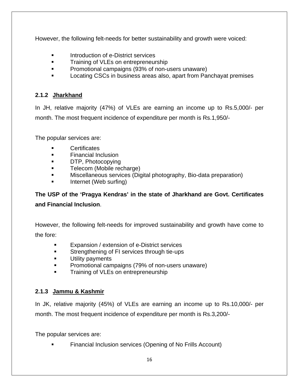However, the following felt-needs for better sustainability and growth were voiced:

- **Introduction of e-District services**
- **Training of VLEs on entrepreneurship**
- **Promotional campaigns (93% of non-users unaware)**
- **Locating CSCs in business areas also, apart from Panchayat premises**

#### **2.1.2 Jharkhand**

In JH, relative majority (47%) of VLEs are earning an income up to Rs.5,000/- per month. The most frequent incidence of expenditure per month is Rs.1,950/-

The popular services are:

- **Certificates**
- **Financial Inclusion**
- **DTP, Photocopying**
- **Telecom (Mobile recharge)**
- Miscellaneous services (Digital photography, Bio-data preparation)
- Internet (Web surfing)

**The USP of the 'Pragya Kendras' in the state of Jharkhand are Govt. Certificates and Financial Inclusion**.

However, the following felt-needs for improved sustainability and growth have come to the fore:

- Expansion / extension of e-District services
- **Strengthening of FI services through tie-ups**
- **Utility payments**
- **Promotional campaigns (79% of non-users unaware)**
- **Training of VLEs on entrepreneurship**

#### **2.1.3 Jammu & Kashmir**

In JK, relative majority (45%) of VLEs are earning an income up to Rs.10,000/- per month. The most frequent incidence of expenditure per month is Rs.3,200/-

The popular services are:

Financial Inclusion services (Opening of No Frills Account)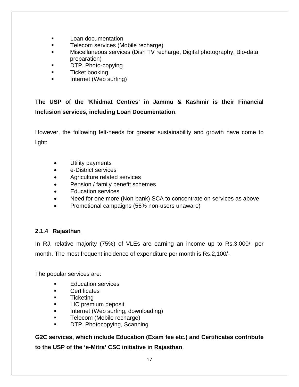- **Loan documentation**
- **Telecom services (Mobile recharge)**
- Miscellaneous services (Dish TV recharge, Digital photography, Bio-data preparation)
- **DTP, Photo-copying**
- **Ticket booking**
- Internet (Web surfing)

**The USP of the 'Khidmat Centres' in Jammu & Kashmir is their Financial Inclusion services, including Loan Documentation**.

However, the following felt-needs for greater sustainability and growth have come to light:

- Utility payments
- e-District services
- Agriculture related services
- Pension / family benefit schemes
- Education services
- Need for one more (Non-bank) SCA to concentrate on services as above
- Promotional campaigns (56% non-users unaware)

#### **2.1.4 Rajasthan**

In RJ, relative majority (75%) of VLEs are earning an income up to Rs.3,000/- per month. The most frequent incidence of expenditure per month is Rs.2,100/-

The popular services are:

- Education services
- **Certificates**
- **Ticketing**
- **LIC** premium deposit
- **Internet (Web surfing, downloading)**
- **Telecom (Mobile recharge)**
- DTP, Photocopying, Scanning

**G2C services, which include Education (Exam fee etc.) and Certificates contribute to the USP of the 'e-Mitra' CSC initiative in Rajasthan**.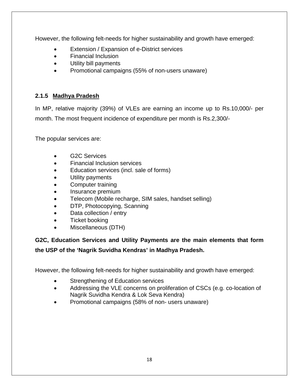However, the following felt-needs for higher sustainability and growth have emerged:

- Extension / Expansion of e-District services
- Financial Inclusion
- Utility bill payments
- Promotional campaigns (55% of non-users unaware)

#### **2.1.5 Madhya Pradesh**

In MP, relative majority (39%) of VLEs are earning an income up to Rs.10,000/- per month. The most frequent incidence of expenditure per month is Rs.2,300/-

The popular services are:

- G2C Services
- Financial Inclusion services
- Education services (incl. sale of forms)
- Utility payments
- Computer training
- Insurance premium
- Telecom (Mobile recharge, SIM sales, handset selling)
- DTP, Photocopying, Scanning
- Data collection / entry
- Ticket booking
- Miscellaneous (DTH)

## **G2C, Education Services and Utility Payments are the main elements that form the USP of the 'Nagrik Suvidha Kendras' in Madhya Pradesh.**

However, the following felt-needs for higher sustainability and growth have emerged:

- Strengthening of Education services
- Addressing the VLE concerns on proliferation of CSCs (e.g. co-location of Nagrik Suvidha Kendra & Lok Seva Kendra)
- Promotional campaigns (58% of non- users unaware)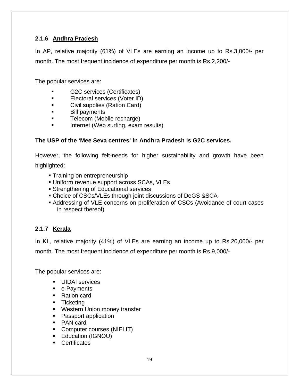#### **2.1.6 Andhra Pradesh**

In AP, relative majority (61%) of VLEs are earning an income up to Rs.3,000/- per month. The most frequent incidence of expenditure per month is Rs.2,200/-

The popular services are:

- G2C services (Certificates)
- **Electoral services (Voter ID)**
- **Civil supplies (Ration Card)**
- **Bill payments**
- **Telecom (Mobile recharge)**
- **If the Internet (Web surfing, exam results)**

#### **The USP of the 'Mee Seva centres' in Andhra Pradesh is G2C services.**

However, the following felt-needs for higher sustainability and growth have been

highlighted:

- **Training on entrepreneurship**
- Uniform revenue support across SCAs, VLEs
- **Strengthening of Educational services**
- Choice of CSCs/VLEs through joint discussions of DeGS &SCA
- Addressing of VLE concerns on proliferation of CSCs (Avoidance of court cases in respect thereof)

#### **2.1.7 Kerala**

In KL, relative majority (41%) of VLEs are earning an income up to Rs.20,000/- per

month. The most frequent incidence of expenditure per month is Rs.9,000/-

The popular services are:

- **UIDAI** services
- e-Payments
- Ration card
- **Ticketing**
- **Western Union money transfer**
- Passport application
- PAN card
- Computer courses (NIELIT)
- **Education (IGNOU)**
- **Certificates**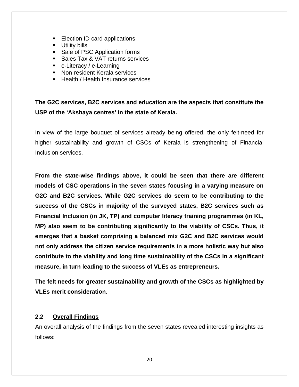- **Election ID card applications**
- **Utility bills**
- Sale of PSC Application forms
- **Sales Tax & VAT returns services**
- e-Literacy / e-Learning
- **Non-resident Kerala services**
- $\blacksquare$  Health / Health Insurance services

## **The G2C services, B2C services and education are the aspects that constitute the USP of the 'Akshaya centres' in the state of Kerala.**

In view of the large bouquet of services already being offered, the only felt-need for higher sustainability and growth of CSCs of Kerala is strengthening of Financial Inclusion services.

**From the state-wise findings above, it could be seen that there are different models of CSC operations in the seven states focusing in a varying measure on G2C and B2C services. While G2C services do seem to be contributing to the success of the CSCs in majority of the surveyed states, B2C services such as Financial Inclusion (in JK, TP) and computer literacy training programmes (in KL, MP) also seem to be contributing significantly to the viability of CSCs. Thus, it emerges that a basket comprising a balanced mix G2C and B2C services would not only address the citizen service requirements in a more holistic way but also contribute to the viability and long time sustainability of the CSCs in a significant measure, in turn leading to the success of VLEs as entrepreneurs.** 

**The felt needs for greater sustainability and growth of the CSCs as highlighted by VLEs merit consideration**.

#### **2.2 Overall Findings**

An overall analysis of the findings from the seven states revealed interesting insights as follows: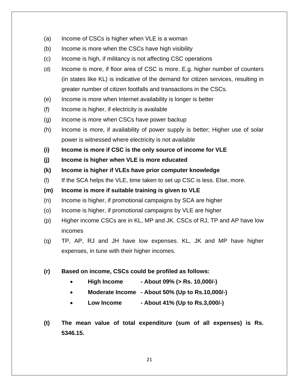- (a) Income of CSCs is higher when VLE is a woman
- (b) Income is more when the CSCs have high visibility
- (c) Income is high, if militancy is not affecting CSC operations
- (d) Income is more, if floor area of CSC is more. E.g. higher number of counters (in states like KL) is indicative of the demand for citizen services, resulting in greater number of citizen footfalls and transactions in the CSCs.
- (e) Income is more when Internet availability is longer is better
- (f) Income is higher, if electricity is available
- (g) Income is more when CSCs have power backup
- (h) Income is more, if availability of power supply is better; Higher use of solar power is witnessed where electricity is not available
- **(i) Income is more if CSC is the only source of income for VLE**
- **(j) Income is higher when VLE is more educated**
- **(k) Income is higher if VLEs have prior computer knowledge**
- (l) If the SCA helps the VLE, time taken to set up CSC is less. Else, more.
- **(m) Income is more if suitable training is given to VLE**
- (n) Income is higher, if promotional campaigns by SCA are higher
- (o) Income is higher, if promotional campaigns by VLE are higher
- (p) Higher income CSCs are in KL, MP and JK. CSCs of RJ, TP and AP have low incomes
- (q) TP, AP, RJ and JH have low expenses. KL, JK and MP have higher expenses, in tune with their higher incomes.
- **(r) Based on income, CSCs could be profiled as follows:** 
	- **High Income About 09% (> Rs. 10,000/-)**
	- **Moderate Income About 50% (Up to Rs.10,000/-)**
	- **Low Income About 41% (Up to Rs.3,000/-)**
- **(t) The mean value of total expenditure (sum of all expenses) is Rs. 5346.15.**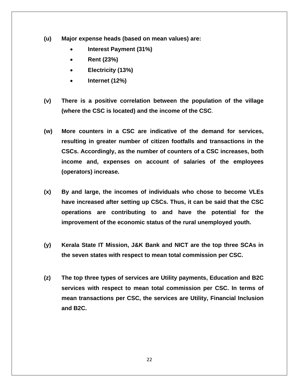- **(u) Major expense heads (based on mean values) are:** 
	- **Interest Payment (31%)**
	- **Rent (23%)**
	- **Electricity (13%)**
	- **Internet (12%)**
- **(v) There is a positive correlation between the population of the village (where the CSC is located) and the income of the CSC**.
- **(w) More counters in a CSC are indicative of the demand for services, resulting in greater number of citizen footfalls and transactions in the CSCs. Accordingly, as the number of counters of a CSC increases, both income and, expenses on account of salaries of the employees (operators) increase.**
- **(x) By and large, the incomes of individuals who chose to become VLEs have increased after setting up CSCs. Thus, it can be said that the CSC operations are contributing to and have the potential for the improvement of the economic status of the rural unemployed youth.**
- **(y) Kerala State IT Mission, J&K Bank and NICT are the top three SCAs in the seven states with respect to mean total commission per CSC.**
- **(z) The top three types of services are Utility payments, Education and B2C services with respect to mean total commission per CSC. In terms of mean transactions per CSC, the services are Utility, Financial Inclusion and B2C.**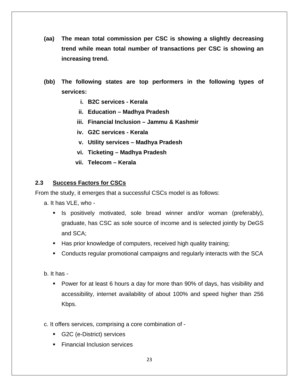- **(aa) The mean total commission per CSC is showing a slightly decreasing trend while mean total number of transactions per CSC is showing an increasing trend.**
- **(bb) The following states are top performers in the following types of services:** 
	- **i. B2C services Kerala**
	- **ii. Education Madhya Pradesh**
	- **iii. Financial Inclusion Jammu & Kashmir**
	- **iv. G2C services Kerala**
	- **v. Utility services Madhya Pradesh**
	- **vi. Ticketing Madhya Pradesh**
	- **vii. Telecom Kerala**

#### **2.3 Success Factors for CSCs**

From the study, it emerges that a successful CSCs model is as follows:

- a. It has VLE, who
	- **If** Is positively motivated, sole bread winner and/or woman (preferably), graduate, has CSC as sole source of income and is selected jointly by DeGS and SCA;
	- Has prior knowledge of computers, received high quality training;
	- Conducts regular promotional campaigns and regularly interacts with the SCA
- b. It has
	- Power for at least 6 hours a day for more than 90% of days, has visibility and accessibility, internet availability of about 100% and speed higher than 256 Kbps.
- c. It offers services, comprising a core combination of
	- G2C (e-District) services
	- **Financial Inclusion services**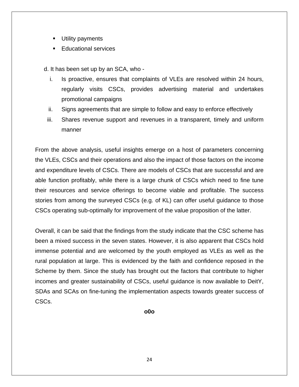- **Utility payments**
- Educational services

d. It has been set up by an SCA, who -

- i. Is proactive, ensures that complaints of VLEs are resolved within 24 hours, regularly visits CSCs, provides advertising material and undertakes promotional campaigns
- ii. Signs agreements that are simple to follow and easy to enforce effectively
- iii. Shares revenue support and revenues in a transparent, timely and uniform manner

From the above analysis, useful insights emerge on a host of parameters concerning the VLEs, CSCs and their operations and also the impact of those factors on the income and expenditure levels of CSCs. There are models of CSCs that are successful and are able function profitably, while there is a large chunk of CSCs which need to fine tune their resources and service offerings to become viable and profitable. The success stories from among the surveyed CSCs (e.g. of KL) can offer useful guidance to those CSCs operating sub-optimally for improvement of the value proposition of the latter.

Overall, it can be said that the findings from the study indicate that the CSC scheme has been a mixed success in the seven states. However, it is also apparent that CSCs hold immense potential and are welcomed by the youth employed as VLEs as well as the rural population at large. This is evidenced by the faith and confidence reposed in the Scheme by them. Since the study has brought out the factors that contribute to higher incomes and greater sustainability of CSCs, useful guidance is now available to DeitY, SDAs and SCAs on fine-tuning the implementation aspects towards greater success of CSCs.

**o0o**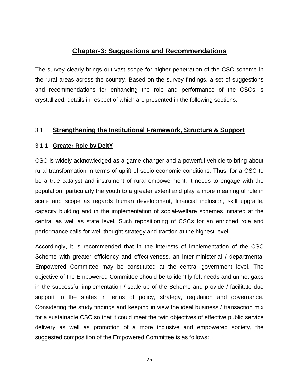#### **Chapter-3: Suggestions and Recommendations**

The survey clearly brings out vast scope for higher penetration of the CSC scheme in the rural areas across the country. Based on the survey findings, a set of suggestions and recommendations for enhancing the role and performance of the CSCs is crystallized, details in respect of which are presented in the following sections.

#### 3.1 **Strengthening the Institutional Framework, Structure & Support**

#### 3.1.1 **Greater Role by DeitY**

CSC is widely acknowledged as a game changer and a powerful vehicle to bring about rural transformation in terms of uplift of socio-economic conditions. Thus, for a CSC to be a true catalyst and instrument of rural empowerment, it needs to engage with the population, particularly the youth to a greater extent and play a more meaningful role in scale and scope as regards human development, financial inclusion, skill upgrade, capacity building and in the implementation of social-welfare schemes initiated at the central as well as state level. Such repositioning of CSCs for an enriched role and performance calls for well-thought strategy and traction at the highest level.

Accordingly, it is recommended that in the interests of implementation of the CSC Scheme with greater efficiency and effectiveness, an inter-ministerial / departmental Empowered Committee may be constituted at the central government level. The objective of the Empowered Committee should be to identify felt needs and unmet gaps in the successful implementation / scale-up of the Scheme and provide / facilitate due support to the states in terms of policy, strategy, regulation and governance. Considering the study findings and keeping in view the ideal business / transaction mix for a sustainable CSC so that it could meet the twin objectives of effective public service delivery as well as promotion of a more inclusive and empowered society, the suggested composition of the Empowered Committee is as follows: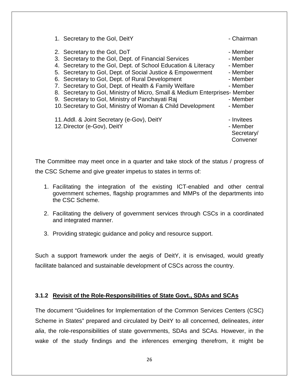| 1. Secretary to the Gol, DeitY                                             | - Chairman |
|----------------------------------------------------------------------------|------------|
| 2. Secretary to the Gol, DoT                                               | - Member   |
| 3. Secretary to the Gol, Dept. of Financial Services                       | - Member   |
| 4. Secretary to the Gol, Dept. of School Education & Literacy              | - Member   |
| 5. Secretary to Gol, Dept. of Social Justice & Empowerment                 | - Member   |
| 6. Secretary to Gol, Dept. of Rural Development                            | - Member   |
| 7. Secretary to Gol, Dept. of Health & Family Welfare                      | - Member   |
| 8. Secretary to Gol, Ministry of Micro, Small & Medium Enterprises- Member |            |
| 9. Secretary to Gol, Ministry of Panchayati Raj                            | - Member   |
| 10. Secretary to Gol, Ministry of Woman & Child Development                | - Member   |
| 11. Addl. & Joint Secretary (e-Gov), DeitY                                 | - Invitees |
| 12. Director (e-Gov), DeitY                                                | - Member   |
|                                                                            | Secretary/ |
|                                                                            | Convener   |

The Committee may meet once in a quarter and take stock of the status / progress of the CSC Scheme and give greater impetus to states in terms of:

- 1. Facilitating the integration of the existing ICT-enabled and other central government schemes, flagship programmes and MMPs of the departments into the CSC Scheme.
- 2. Facilitating the delivery of government services through CSCs in a coordinated and integrated manner.
- 3. Providing strategic guidance and policy and resource support.

Such a support framework under the aegis of DeitY, it is envisaged, would greatly facilitate balanced and sustainable development of CSCs across the country.

#### **3.1.2 Revisit of the Role-Responsibilities of State Govt., SDAs and SCAs**

The document "Guidelines for Implementation of the Common Services Centers (CSC) Scheme in States" prepared and circulated by DeitY to all concerned, delineates, *inter alia*, the role-responsibilities of state governments, SDAs and SCAs. However, in the wake of the study findings and the inferences emerging therefrom, it might be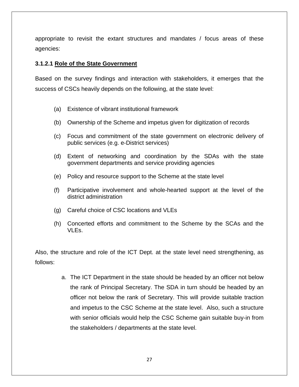appropriate to revisit the extant structures and mandates / focus areas of these agencies:

#### **3.1.2.1 Role of the State Government**

Based on the survey findings and interaction with stakeholders, it emerges that the success of CSCs heavily depends on the following, at the state level:

- (a) Existence of vibrant institutional framework
- (b) Ownership of the Scheme and impetus given for digitization of records
- (c) Focus and commitment of the state government on electronic delivery of public services (e.g. e-District services)
- (d) Extent of networking and coordination by the SDAs with the state government departments and service providing agencies
- (e) Policy and resource support to the Scheme at the state level
- (f) Participative involvement and whole-hearted support at the level of the district administration
- (g) Careful choice of CSC locations and VLEs
- (h) Concerted efforts and commitment to the Scheme by the SCAs and the VLEs.

Also, the structure and role of the ICT Dept. at the state level need strengthening, as follows:

> a. The ICT Department in the state should be headed by an officer not below the rank of Principal Secretary. The SDA in turn should be headed by an officer not below the rank of Secretary. This will provide suitable traction and impetus to the CSC Scheme at the state level. Also, such a structure with senior officials would help the CSC Scheme gain suitable buy-in from the stakeholders / departments at the state level.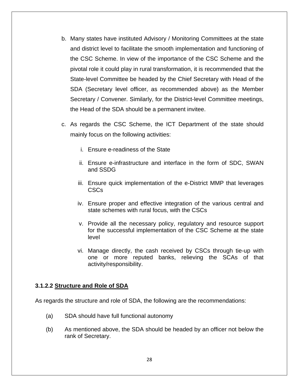- b. Many states have instituted Advisory / Monitoring Committees at the state and district level to facilitate the smooth implementation and functioning of the CSC Scheme. In view of the importance of the CSC Scheme and the pivotal role it could play in rural transformation, it is recommended that the State-level Committee be headed by the Chief Secretary with Head of the SDA (Secretary level officer, as recommended above) as the Member Secretary / Convener. Similarly, for the District-level Committee meetings, the Head of the SDA should be a permanent invitee.
- c. As regards the CSC Scheme, the ICT Department of the state should mainly focus on the following activities:
	- i. Ensure e-readiness of the State
	- ii. Ensure e-infrastructure and interface in the form of SDC, SWAN and SSDG
	- iii. Ensure quick implementation of the e-District MMP that leverages CSCs
	- iv. Ensure proper and effective integration of the various central and state schemes with rural focus, with the CSCs
	- v. Provide all the necessary policy, regulatory and resource support for the successful implementation of the CSC Scheme at the state level
	- vi. Manage directly, the cash received by CSCs through tie-up with one or more reputed banks, relieving the SCAs of that activity/responsibility.

#### **3.1.2.2 Structure and Role of SDA**

As regards the structure and role of SDA, the following are the recommendations:

- (a) SDA should have full functional autonomy
- (b) As mentioned above, the SDA should be headed by an officer not below the rank of Secretary.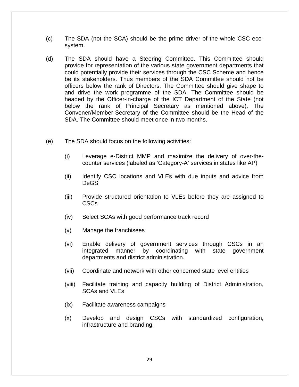- (c) The SDA (not the SCA) should be the prime driver of the whole CSC ecosystem.
- (d) The SDA should have a Steering Committee. This Committee should provide for representation of the various state government departments that could potentially provide their services through the CSC Scheme and hence be its stakeholders. Thus members of the SDA Committee should not be officers below the rank of Directors. The Committee should give shape to and drive the work programme of the SDA. The Committee should be headed by the Officer-in-charge of the ICT Department of the State (not below the rank of Principal Secretary as mentioned above). The Convener/Member-Secretary of the Committee should be the Head of the SDA. The Committee should meet once in two months.
- (e) The SDA should focus on the following activities:
	- (i) Leverage e-District MMP and maximize the delivery of over-thecounter services (labeled as 'Category-A' services in states like AP)
	- (ii) Identify CSC locations and VLEs with due inputs and advice from DeGS
	- (iii) Provide structured orientation to VLEs before they are assigned to CSCs
	- (iv) Select SCAs with good performance track record
	- (v) Manage the franchisees
	- (vi) Enable delivery of government services through CSCs in an integrated manner by coordinating with state government departments and district administration.
	- (vii) Coordinate and network with other concerned state level entities
	- (viii) Facilitate training and capacity building of District Administration, SCAs and VLEs
	- (ix) Facilitate awareness campaigns
	- (x) Develop and design CSCs with standardized configuration, infrastructure and branding.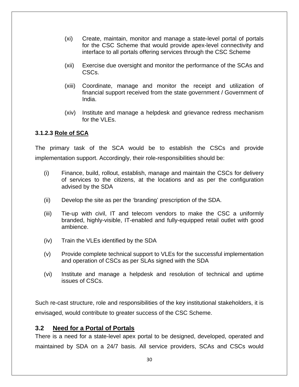- (xi) Create, maintain, monitor and manage a state-level portal of portals for the CSC Scheme that would provide apex-level connectivity and interface to all portals offering services through the CSC Scheme
- (xii) Exercise due oversight and monitor the performance of the SCAs and CSCs.
- (xiii) Coordinate, manage and monitor the receipt and utilization of financial support received from the state government / Government of India.
- (xiv) Institute and manage a helpdesk and grievance redress mechanism for the VLEs.

#### **3.1.2.3 Role of SCA**

The primary task of the SCA would be to establish the CSCs and provide implementation support. Accordingly, their role-responsibilities should be:

- (i) Finance, build, rollout, establish, manage and maintain the CSCs for delivery of services to the citizens, at the locations and as per the configuration advised by the SDA
- (ii) Develop the site as per the 'branding' prescription of the SDA.
- (iii) Tie-up with civil, IT and telecom vendors to make the CSC a uniformly branded, highly-visible, IT-enabled and fully-equipped retail outlet with good ambience.
- (iv) Train the VLEs identified by the SDA
- (v) Provide complete technical support to VLEs for the successful implementation and operation of CSCs as per SLAs signed with the SDA
- (vi) Institute and manage a helpdesk and resolution of technical and uptime issues of CSCs.

Such re-cast structure, role and responsibilities of the key institutional stakeholders, it is envisaged, would contribute to greater success of the CSC Scheme.

#### **3.2 Need for a Portal of Portals**

There is a need for a state-level apex portal to be designed, developed, operated and maintained by SDA on a 24/7 basis. All service providers, SCAs and CSCs would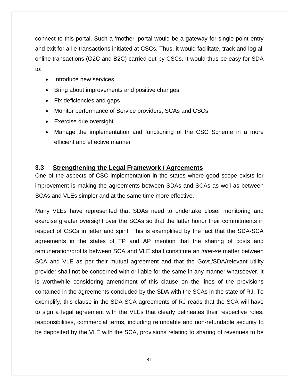connect to this portal. Such a 'mother' portal would be a gateway for single point entry and exit for all e-transactions initiated at CSCs. Thus, it would facilitate, track and log all online transactions (G2C and B2C) carried out by CSCs. It would thus be easy for SDA to:

- Introduce new services
- Bring about improvements and positive changes
- Fix deficiencies and gaps
- Monitor performance of Service providers, SCAs and CSCs
- Exercise due oversight
- Manage the implementation and functioning of the CSC Scheme in a more efficient and effective manner

#### **3.3 Strengthening the Legal Framework / Agreements**

One of the aspects of CSC implementation in the states where good scope exists for improvement is making the agreements between SDAs and SCAs as well as between SCAs and VLEs simpler and at the same time more effective.

Many VLEs have represented that SDAs need to undertake closer monitoring and exercise greater oversight over the SCAs so that the latter honor their commitments in respect of CSCs in letter and spirit. This is exemplified by the fact that the SDA-SCA agreements in the states of TP and AP mention that the sharing of costs and remuneration/profits between SCA and VLE shall constitute an *inter-se* matter between SCA and VLE as per their mutual agreement and that the Govt./SDA/relevant utility provider shall not be concerned with or liable for the same in any manner whatsoever. It is worthwhile considering amendment of this clause on the lines of the provisions contained in the agreements concluded by the SDA with the SCAs in the state of RJ. To exemplify, this clause in the SDA-SCA agreements of RJ reads that the SCA will have to sign a legal agreement with the VLEs that clearly delineates their respective roles, responsibilities, commercial terms, including refundable and non-refundable security to be deposited by the VLE with the SCA, provisions relating to sharing of revenues to be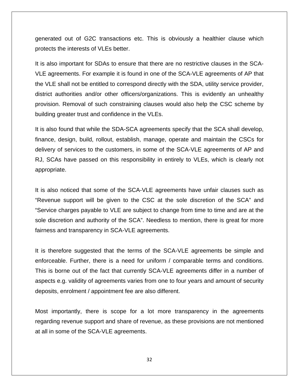generated out of G2C transactions etc. This is obviously a healthier clause which protects the interests of VLEs better.

It is also important for SDAs to ensure that there are no restrictive clauses in the SCA-VLE agreements. For example it is found in one of the SCA-VLE agreements of AP that the VLE shall not be entitled to correspond directly with the SDA, utility service provider, district authorities and/or other officers/organizations. This is evidently an unhealthy provision. Removal of such constraining clauses would also help the CSC scheme by building greater trust and confidence in the VLEs.

It is also found that while the SDA-SCA agreements specify that the SCA shall develop, finance, design, build, rollout, establish, manage, operate and maintain the CSCs for delivery of services to the customers, in some of the SCA-VLE agreements of AP and RJ, SCAs have passed on this responsibility in entirely to VLEs, which is clearly not appropriate.

It is also noticed that some of the SCA-VLE agreements have unfair clauses such as "Revenue support will be given to the CSC at the sole discretion of the SCA" and "Service charges payable to VLE are subject to change from time to time and are at the sole discretion and authority of the SCA". Needless to mention, there is great for more fairness and transparency in SCA-VLE agreements.

It is therefore suggested that the terms of the SCA-VLE agreements be simple and enforceable. Further, there is a need for uniform / comparable terms and conditions. This is borne out of the fact that currently SCA-VLE agreements differ in a number of aspects e.g. validity of agreements varies from one to four years and amount of security deposits, enrolment / appointment fee are also different.

Most importantly, there is scope for a lot more transparency in the agreements regarding revenue support and share of revenue, as these provisions are not mentioned at all in some of the SCA-VLE agreements.

32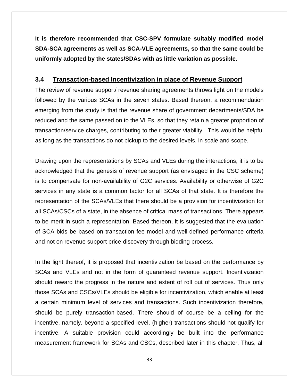**It is therefore recommended that CSC-SPV formulate suitably modified model SDA-SCA agreements as well as SCA-VLE agreements, so that the same could be uniformly adopted by the states/SDAs with as little variation as possible**.

#### **3.4 Transaction-based Incentivization in place of Revenue Support**

The review of revenue support/ revenue sharing agreements throws light on the models followed by the various SCAs in the seven states. Based thereon, a recommendation emerging from the study is that the revenue share of government departments/SDA be reduced and the same passed on to the VLEs, so that they retain a greater proportion of transaction/service charges, contributing to their greater viability. This would be helpful as long as the transactions do not pickup to the desired levels, in scale and scope.

Drawing upon the representations by SCAs and VLEs during the interactions, it is to be acknowledged that the genesis of revenue support (as envisaged in the CSC scheme) is to compensate for non-availability of G2C services. Availability or otherwise of G2C services in any state is a common factor for all SCAs of that state. It is therefore the representation of the SCAs/VLEs that there should be a provision for incentivization for all SCAs/CSCs of a state, in the absence of critical mass of transactions. There appears to be merit in such a representation. Based thereon, it is suggested that the evaluation of SCA bids be based on transaction fee model and well-defined performance criteria and not on revenue support price-discovery through bidding process.

In the light thereof, it is proposed that incentivization be based on the performance by SCAs and VLEs and not in the form of guaranteed revenue support. Incentivization should reward the progress in the nature and extent of roll out of services. Thus only those SCAs and CSCs/VLEs should be eligible for incentivization, which enable at least a certain minimum level of services and transactions. Such incentivization therefore, should be purely transaction-based. There should of course be a ceiling for the incentive, namely, beyond a specified level, (higher) transactions should not qualify for incentive. A suitable provision could accordingly be built into the performance measurement framework for SCAs and CSCs, described later in this chapter. Thus, all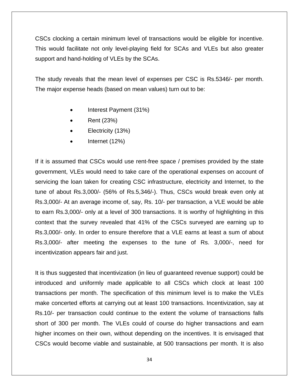CSCs clocking a certain minimum level of transactions would be eligible for incentive. This would facilitate not only level-playing field for SCAs and VLEs but also greater support and hand-holding of VLEs by the SCAs.

The study reveals that the mean level of expenses per CSC is Rs.5346/- per month. The major expense heads (based on mean values) turn out to be:

- Interest Payment (31%)
- Rent (23%)
- Electricity (13%)
- Internet (12%)

If it is assumed that CSCs would use rent-free space / premises provided by the state government, VLEs would need to take care of the operational expenses on account of servicing the loan taken for creating CSC infrastructure, electricity and Internet, to the tune of about Rs.3,000/- (56% of Rs.5,346/-). Thus, CSCs would break even only at Rs.3,000/- At an average income of, say, Rs. 10/- per transaction, a VLE would be able to earn Rs.3,000/- only at a level of 300 transactions. It is worthy of highlighting in this context that the survey revealed that 41% of the CSCs surveyed are earning up to Rs.3,000/- only. In order to ensure therefore that a VLE earns at least a sum of about Rs.3,000/- after meeting the expenses to the tune of Rs. 3,000/-, need for incentivization appears fair and just.

It is thus suggested that incentivization (in lieu of guaranteed revenue support) could be introduced and uniformly made applicable to all CSCs which clock at least 100 transactions per month. The specification of this minimum level is to make the VLEs make concerted efforts at carrying out at least 100 transactions. Incentivization, say at Rs.10/- per transaction could continue to the extent the volume of transactions falls short of 300 per month. The VLEs could of course do higher transactions and earn higher incomes on their own, without depending on the incentives. It is envisaged that CSCs would become viable and sustainable, at 500 transactions per month. It is also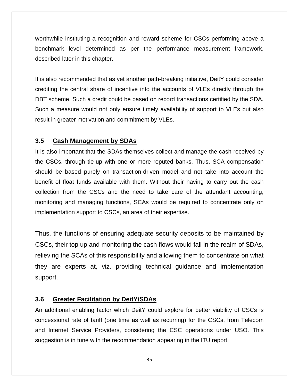worthwhile instituting a recognition and reward scheme for CSCs performing above a benchmark level determined as per the performance measurement framework, described later in this chapter.

It is also recommended that as yet another path-breaking initiative, DeitY could consider crediting the central share of incentive into the accounts of VLEs directly through the DBT scheme. Such a credit could be based on record transactions certified by the SDA. Such a measure would not only ensure timely availability of support to VLEs but also result in greater motivation and commitment by VLEs.

#### **3.5 Cash Management by SDAs**

It is also important that the SDAs themselves collect and manage the cash received by the CSCs, through tie-up with one or more reputed banks. Thus, SCA compensation should be based purely on transaction-driven model and not take into account the benefit of float funds available with them. Without their having to carry out the cash collection from the CSCs and the need to take care of the attendant accounting, monitoring and managing functions, SCAs would be required to concentrate only on implementation support to CSCs, an area of their expertise.

Thus, the functions of ensuring adequate security deposits to be maintained by CSCs, their top up and monitoring the cash flows would fall in the realm of SDAs, relieving the SCAs of this responsibility and allowing them to concentrate on what they are experts at, viz. providing technical guidance and implementation support.

#### **3.6 Greater Facilitation by DeitY/SDAs**

An additional enabling factor which DeitY could explore for better viability of CSCs is concessional rate of tariff (one time as well as recurring) for the CSCs, from Telecom and Internet Service Providers, considering the CSC operations under USO. This suggestion is in tune with the recommendation appearing in the ITU report.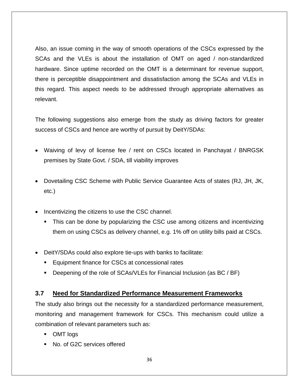Also, an issue coming in the way of smooth operations of the CSCs expressed by the SCAs and the VLEs is about the installation of OMT on aged / non-standardized hardware. Since uptime recorded on the OMT is a determinant for revenue support, there is perceptible disappointment and dissatisfaction among the SCAs and VLEs in this regard. This aspect needs to be addressed through appropriate alternatives as relevant.

The following suggestions also emerge from the study as driving factors for greater success of CSCs and hence are worthy of pursuit by DeitY/SDAs:

- Waiving of levy of license fee / rent on CSCs located in Panchayat / BNRGSK premises by State Govt. / SDA, till viability improves
- Dovetailing CSC Scheme with Public Service Guarantee Acts of states (RJ, JH, JK, etc.)
- Incentivizing the citizens to use the CSC channel.
	- This can be done by popularizing the CSC use among citizens and incentivizing them on using CSCs as delivery channel, e.g. 1% off on utility bills paid at CSCs.
- DeitY/SDAs could also explore tie-ups with banks to facilitate:
	- **Equipment finance for CSCs at concessional rates**
	- Deepening of the role of SCAs/VLEs for Financial Inclusion (as BC / BF)

#### **3.7 Need for Standardized Performance Measurement Frameworks**

The study also brings out the necessity for a standardized performance measurement, monitoring and management framework for CSCs. This mechanism could utilize a combination of relevant parameters such as:

- OMT logs
- No. of G2C services offered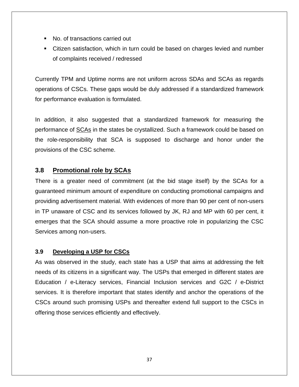- No. of transactions carried out
- Citizen satisfaction, which in turn could be based on charges levied and number of complaints received / redressed

Currently TPM and Uptime norms are not uniform across SDAs and SCAs as regards operations of CSCs. These gaps would be duly addressed if a standardized framework for performance evaluation is formulated.

In addition, it also suggested that a standardized framework for measuring the performance of SCAs in the states be crystallized. Such a framework could be based on the role-responsibility that SCA is supposed to discharge and honor under the provisions of the CSC scheme.

#### **3.8 Promotional role by SCAs**

There is a greater need of commitment (at the bid stage itself) by the SCAs for a guaranteed minimum amount of expenditure on conducting promotional campaigns and providing advertisement material. With evidences of more than 90 per cent of non-users in TP unaware of CSC and its services followed by JK, RJ and MP with 60 per cent, it emerges that the SCA should assume a more proactive role in popularizing the CSC Services among non-users.

#### **3.9 Developing a USP for CSCs**

As was observed in the study, each state has a USP that aims at addressing the felt needs of its citizens in a significant way. The USPs that emerged in different states are Education / e-Literacy services, Financial Inclusion services and G2C / e-District services. It is therefore important that states identify and anchor the operations of the CSCs around such promising USPs and thereafter extend full support to the CSCs in offering those services efficiently and effectively.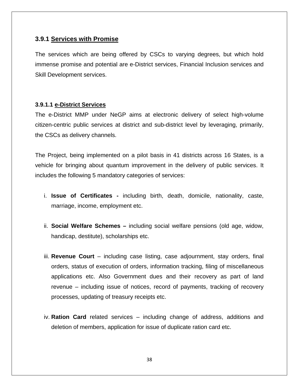#### **3.9.1 Services with Promise**

The services which are being offered by CSCs to varying degrees, but which hold immense promise and potential are e-District services, Financial Inclusion services and Skill Development services.

#### **3.9.1.1 e-District Services**

The e-District MMP under NeGP aims at electronic delivery of select high-volume citizen-centric public services at district and sub-district level by leveraging, primarily, the CSCs as delivery channels.

The Project, being implemented on a pilot basis in 41 districts across 16 States, is a vehicle for bringing about quantum improvement in the delivery of public services. It includes the following 5 mandatory categories of services:

- i. **Issue of Certificates** including birth, death, domicile, nationality, caste, marriage, income, employment etc.
- ii. **Social Welfare Schemes** including social welfare pensions (old age, widow, handicap, destitute), scholarships etc.
- iii. **Revenue Court**  including case listing, case adjournment, stay orders, final orders, status of execution of orders, information tracking, filing of miscellaneous applications etc. Also Government dues and their recovery as part of land revenue – including issue of notices, record of payments, tracking of recovery processes, updating of treasury receipts etc.
- iv. **Ration Card** related services including change of address, additions and deletion of members, application for issue of duplicate ration card etc.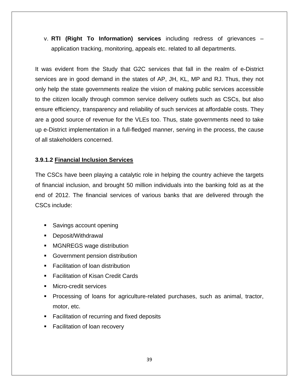v. **RTI (Right To Information) services** including redress of grievances – application tracking, monitoring, appeals etc. related to all departments.

It was evident from the Study that G2C services that fall in the realm of e-District services are in good demand in the states of AP, JH, KL, MP and RJ. Thus, they not only help the state governments realize the vision of making public services accessible to the citizen locally through common service delivery outlets such as CSCs, but also ensure efficiency, transparency and reliability of such services at affordable costs. They are a good source of revenue for the VLEs too. Thus, state governments need to take up e-District implementation in a full-fledged manner, serving in the process, the cause of all stakeholders concerned.

#### **3.9.1.2 Financial Inclusion Services**

The CSCs have been playing a catalytic role in helping the country achieve the targets of financial inclusion, and brought 50 million individuals into the banking fold as at the end of 2012. The financial services of various banks that are delivered through the CSCs include:

- **Savings account opening**
- **Deposit/Withdrawal**
- MGNREGS wage distribution
- Government pension distribution
- **Facilitation of loan distribution**
- Facilitation of Kisan Credit Cards
- **Micro-credit services**
- **Processing of loans for agriculture-related purchases, such as animal, tractor,** motor, etc.
- Facilitation of recurring and fixed deposits
- Facilitation of loan recovery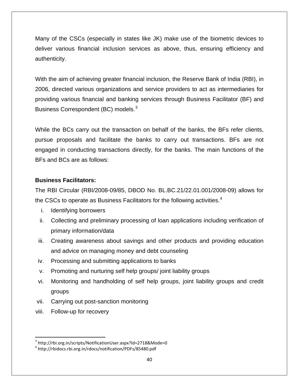Many of the CSCs (especially in states like JK) make use of the biometric devices to deliver various financial inclusion services as above, thus, ensuring efficiency and authenticity.

With the aim of achieving greater financial inclusion, the Reserve Bank of India (RBI), in 2006, directed various organizations and service providers to act as intermediaries for providing various financial and banking services through Business Facilitator (BF) and Business Correspondent (BC) models.<sup>[3](#page-39-0)</sup>

While the BCs carry out the transaction on behalf of the banks, the BFs refer clients, pursue proposals and facilitate the banks to carry out transactions. BFs are not engaged in conducting transactions directly, for the banks. The main functions of the BFs and BCs are as follows:

#### **Business Facilitators:**

The RBI Circular (RBI/2008-09/85, DBOD No. BL.BC.21/22.01.001/2008-09) allows for the CSCs to operate as Business Facilitators for the following activities.<sup>[4](#page-39-1)</sup>

- i. Identifying borrowers
- ii. Collecting and preliminary processing of loan applications including verification of primary information/data
- iii. Creating awareness about savings and other products and providing education and advice on managing money and debt counseling
- iv. Processing and submitting applications to banks
- v. Promoting and nurturing self help groups/ joint liability groups
- vi. Monitoring and handholding of self help groups, joint liability groups and credit groups
- vii. Carrying out post-sanction monitoring
- viii. Follow-up for recovery

<span id="page-39-0"></span><sup>&</sup>lt;sup>3</sup> http://rbi.org.in/scripts/NotificationUser.aspx?Id=2718&Mode=0

<span id="page-39-1"></span><sup>4</sup> http://rbidocs.rbi.org.in/rdocs/notification/PDFs/85480.pdf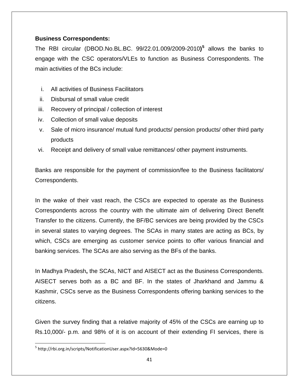#### **Business Correspondents:**

The RBI circular (DBOD.No.BL.BC. 99/22.01.009/2009-2010**) [5](#page-40-0)** allows the banks to engage with the CSC operators/VLEs to function as Business Correspondents. The main activities of the BCs include:

- i. All activities of Business Facilitators
- ii. Disbursal of small value credit
- iii. Recovery of principal / collection of interest
- iv. Collection of small value deposits
- v. Sale of micro insurance/ mutual fund products/ pension products/ other third party products
- vi. Receipt and delivery of small value remittances/ other payment instruments.

Banks are responsible for the payment of commission/fee to the Business facilitators/ Correspondents.

In the wake of their vast reach, the CSCs are expected to operate as the Business Correspondents across the country with the ultimate aim of delivering Direct Benefit Transfer to the citizens. Currently, the BF/BC services are being provided by the CSCs in several states to varying degrees. The SCAs in many states are acting as BCs, by which, CSCs are emerging as customer service points to offer various financial and banking services. The SCAs are also serving as the BFs of the banks.

In Madhya Pradesh**,** the SCAs, NICT and AISECT act as the Business Correspondents. AISECT serves both as a BC and BF. In the states of Jharkhand and Jammu & Kashmir, CSCs serve as the Business Correspondents offering banking services to the citizens.

Given the survey finding that a relative majority of 45% of the CSCs are earning up to Rs.10,000/- p.m. and 98% of it is on account of their extending FI services, there is

<span id="page-40-0"></span><sup>5</sup> http://rbi.org.in/scripts/NotificationUser.aspx?Id=5630&Mode=0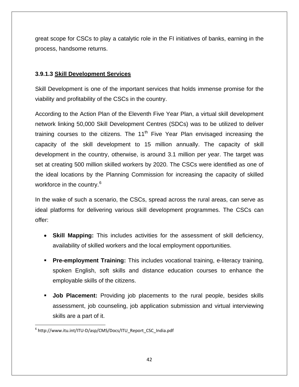great scope for CSCs to play a catalytic role in the FI initiatives of banks, earning in the process, handsome returns.

#### **3.9.1.3 Skill Development Services**

Skill Development is one of the important services that holds immense promise for the viability and profitability of the CSCs in the country.

According to the Action Plan of the Eleventh Five Year Plan, a virtual skill development network linking 50,000 Skill Development Centres (SDCs) was to be utilized to deliver training courses to the citizens. The  $11<sup>th</sup>$  Five Year Plan envisaged increasing the capacity of the skill development to 15 million annually. The capacity of skill development in the country, otherwise, is around 3.1 million per year. The target was set at creating 500 million skilled workers by 2020. The CSCs were identified as one of the ideal locations by the Planning Commission for increasing the capacity of skilled workforce in the country.<sup>[6](#page-41-0)</sup>

In the wake of such a scenario, the CSCs, spread across the rural areas, can serve as ideal platforms for delivering various skill development programmes. The CSCs can offer:

- **Skill Mapping:** This includes activities for the assessment of skill deficiency, availability of skilled workers and the local employment opportunities.
- **Pre-employment Training:** This includes vocational training, e-literacy training, spoken English, soft skills and distance education courses to enhance the employable skills of the citizens.
- **Job Placement:** Providing job placements to the rural people, besides skills assessment, job counseling, job application submission and virtual interviewing skills are a part of it.

<span id="page-41-0"></span> <sup>6</sup> http://www.itu.int/ITU‐D/asp/CMS/Docs/ITU\_Report\_CSC\_India.pdf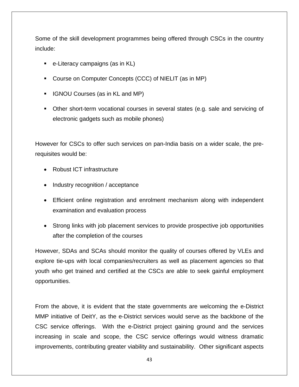Some of the skill development programmes being offered through CSCs in the country include:

- e-Literacy campaigns (as in KL)
- Course on Computer Concepts (CCC) of NIELIT (as in MP)
- **IGNOU Courses (as in KL and MP)**
- Other short-term vocational courses in several states (e.g. sale and servicing of electronic gadgets such as mobile phones)

However for CSCs to offer such services on pan-India basis on a wider scale, the prerequisites would be:

- Robust ICT infrastructure
- Industry recognition / acceptance
- Efficient online registration and enrolment mechanism along with independent examination and evaluation process
- Strong links with job placement services to provide prospective job opportunities after the completion of the courses

However, SDAs and SCAs should monitor the quality of courses offered by VLEs and explore tie-ups with local companies/recruiters as well as placement agencies so that youth who get trained and certified at the CSCs are able to seek gainful employment opportunities.

From the above, it is evident that the state governments are welcoming the e-District MMP initiative of DeitY, as the e-District services would serve as the backbone of the CSC service offerings. With the e-District project gaining ground and the services increasing in scale and scope, the CSC service offerings would witness dramatic improvements, contributing greater viability and sustainability. Other significant aspects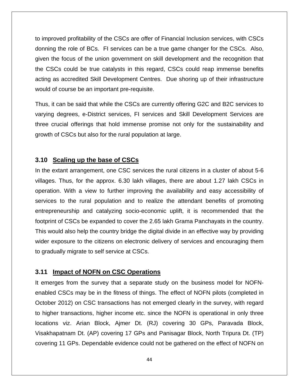to improved profitability of the CSCs are offer of Financial Inclusion services, with CSCs donning the role of BCs. FI services can be a true game changer for the CSCs. Also, given the focus of the union government on skill development and the recognition that the CSCs could be true catalysts in this regard, CSCs could reap immense benefits acting as accredited Skill Development Centres. Due shoring up of their infrastructure would of course be an important pre-requisite.

Thus, it can be said that while the CSCs are currently offering G2C and B2C services to varying degrees, e-District services, FI services and Skill Development Services are three crucial offerings that hold immense promise not only for the sustainability and growth of CSCs but also for the rural population at large.

#### **3.10 Scaling up the base of CSCs**

In the extant arrangement, one CSC services the rural citizens in a cluster of about 5-6 villages. Thus, for the approx. 6.30 lakh villages, there are about 1.27 lakh CSCs in operation. With a view to further improving the availability and easy accessibility of services to the rural population and to realize the attendant benefits of promoting entrepreneurship and catalyzing socio-economic uplift, it is recommended that the footprint of CSCs be expanded to cover the 2.65 lakh Grama Panchayats in the country. This would also help the country bridge the digital divide in an effective way by providing wider exposure to the citizens on electronic delivery of services and encouraging them to gradually migrate to self service at CSCs.

#### **3.11 Impact of NOFN on CSC Operations**

It emerges from the survey that a separate study on the business model for NOFNenabled CSCs may be in the fitness of things. The effect of NOFN pilots (completed in October 2012) on CSC transactions has not emerged clearly in the survey, with regard to higher transactions, higher income etc. since the NOFN is operational in only three locations viz. Arian Block, Ajmer Dt. (RJ) covering 30 GPs, Paravada Block, Visakhapatnam Dt. (AP) covering 17 GPs and Panisagar Block, North Tripura Dt. (TP) covering 11 GPs. Dependable evidence could not be gathered on the effect of NOFN on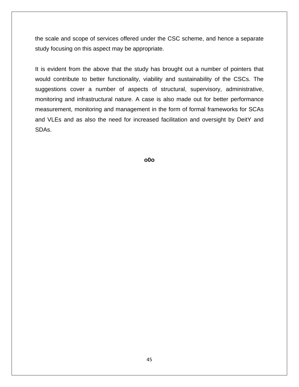the scale and scope of services offered under the CSC scheme, and hence a separate study focusing on this aspect may be appropriate.

It is evident from the above that the study has brought out a number of pointers that would contribute to better functionality, viability and sustainability of the CSCs. The suggestions cover a number of aspects of structural, supervisory, administrative, monitoring and infrastructural nature. A case is also made out for better performance measurement, monitoring and management in the form of formal frameworks for SCAs and VLEs and as also the need for increased facilitation and oversight by DeitY and SDAs.

**o0o**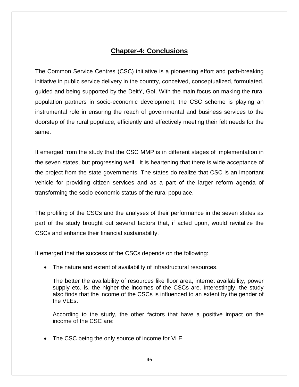## **Chapter-4: Conclusions**

The Common Service Centres (CSC) initiative is a pioneering effort and path-breaking initiative in public service delivery in the country, conceived, conceptualized, formulated, guided and being supported by the DeitY, GoI. With the main focus on making the rural population partners in socio-economic development, the CSC scheme is playing an instrumental role in ensuring the reach of governmental and business services to the doorstep of the rural populace, efficiently and effectively meeting their felt needs for the same.

It emerged from the study that the CSC MMP is in different stages of implementation in the seven states, but progressing well. It is heartening that there is wide acceptance of the project from the state governments. The states do realize that CSC is an important vehicle for providing citizen services and as a part of the larger reform agenda of transforming the socio-economic status of the rural populace.

The profiling of the CSCs and the analyses of their performance in the seven states as part of the study brought out several factors that, if acted upon, would revitalize the CSCs and enhance their financial sustainability.

It emerged that the success of the CSCs depends on the following:

• The nature and extent of availability of infrastructural resources.

The better the availability of resources like floor area, internet availability, power supply etc. is, the higher the incomes of the CSCs are. Interestingly, the study also finds that the income of the CSCs is influenced to an extent by the gender of the VLEs.

According to the study, the other factors that have a positive impact on the income of the CSC are:

The CSC being the only source of income for VLE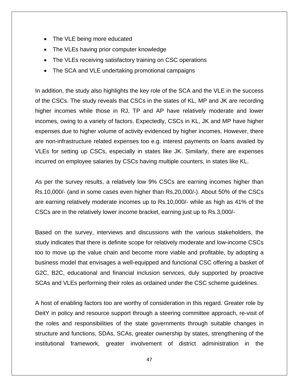- The VLE being more educated
- The VLEs having prior computer knowledge
- The VLEs receiving satisfactory training on CSC operations
- The SCA and VLE undertaking promotional campaigns

In addition, the study also highlights the key role of the SCA and the VLE in the success of the CSCs. The study reveals that CSCs in the states of KL, MP and JK are recording higher incomes while those in RJ, TP and AP have relatively moderate and lower incomes, owing to a variety of factors. Expectedly, CSCs in KL, JK and MP have higher expenses due to higher volume of activity evidenced by higher incomes. However, there are non-infrastructure related expenses too e.g. interest payments on loans availed by VLEs for setting up CSCs, especially in states like JK. Similarly, there are expenses incurred on employee salaries by CSCs having multiple counters, in states like KL.

As per the survey results, a relatively low 9% CSCs are earning incomes higher than Rs.10,000/- (and in some cases even higher than Rs.20,000/-). About 50% of the CSCs are earning relatively moderate incomes up to Rs.10,000/- while as high as 41% of the CSCs are in the relatively lower income bracket, earning just up to Rs.3,000/-

Based on the survey, interviews and discussions with the various stakeholders, the study indicates that there is definite scope for relatively moderate and low-income CSCs too to move up the value chain and become more viable and profitable, by adopting a business model that envisages a well-equipped and functional CSC offering a basket of G2C, B2C, educational and financial inclusion services, duly supported by proactive SCAs and VLEs performing their roles as ordained under the CSC scheme guidelines.

A host of enabling factors too are worthy of consideration in this regard. Greater role by DeitY in policy and resource support through a steering committee approach, re-visit of the roles and responsibilities of the state governments through suitable changes in structure and functions, SDAs, SCAs, greater ownership by states, strengthening of the institutional framework, greater involvement of district administration in the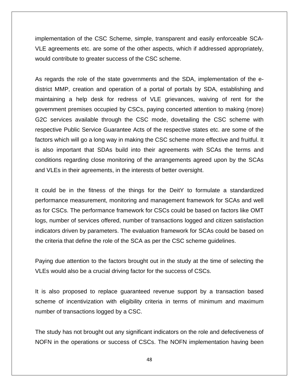implementation of the CSC Scheme, simple, transparent and easily enforceable SCA-VLE agreements etc. are some of the other aspects, which if addressed appropriately, would contribute to greater success of the CSC scheme.

As regards the role of the state governments and the SDA, implementation of the edistrict MMP, creation and operation of a portal of portals by SDA, establishing and maintaining a help desk for redress of VLE grievances, waiving of rent for the government premises occupied by CSCs, paying concerted attention to making (more) G2C services available through the CSC mode, dovetailing the CSC scheme with respective Public Service Guarantee Acts of the respective states etc. are some of the factors which will go a long way in making the CSC scheme more effective and fruitful. It is also important that SDAs build into their agreements with SCAs the terms and conditions regarding close monitoring of the arrangements agreed upon by the SCAs and VLEs in their agreements, in the interests of better oversight.

It could be in the fitness of the things for the DeitY to formulate a standardized performance measurement, monitoring and management framework for SCAs and well as for CSCs. The performance framework for CSCs could be based on factors like OMT logs, number of services offered, number of transactions logged and citizen satisfaction indicators driven by parameters. The evaluation framework for SCAs could be based on the criteria that define the role of the SCA as per the CSC scheme guidelines.

Paying due attention to the factors brought out in the study at the time of selecting the VLEs would also be a crucial driving factor for the success of CSCs.

It is also proposed to replace guaranteed revenue support by a transaction based scheme of incentivization with eligibility criteria in terms of minimum and maximum number of transactions logged by a CSC.

The study has not brought out any significant indicators on the role and defectiveness of NOFN in the operations or success of CSCs. The NOFN implementation having been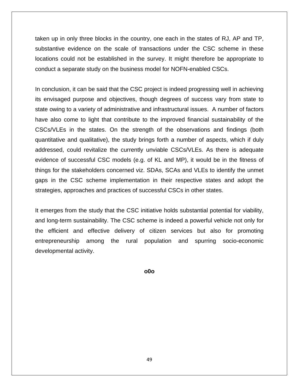taken up in only three blocks in the country, one each in the states of RJ, AP and TP, substantive evidence on the scale of transactions under the CSC scheme in these locations could not be established in the survey. It might therefore be appropriate to conduct a separate study on the business model for NOFN-enabled CSCs.

In conclusion, it can be said that the CSC project is indeed progressing well in achieving its envisaged purpose and objectives, though degrees of success vary from state to state owing to a variety of administrative and infrastructural issues. A number of factors have also come to light that contribute to the improved financial sustainability of the CSCs/VLEs in the states. On the strength of the observations and findings (both quantitative and qualitative), the study brings forth a number of aspects, which if duly addressed, could revitalize the currently unviable CSCs/VLEs. As there is adequate evidence of successful CSC models (e.g. of KL and MP), it would be in the fitness of things for the stakeholders concerned viz. SDAs, SCAs and VLEs to identify the unmet gaps in the CSC scheme implementation in their respective states and adopt the strategies, approaches and practices of successful CSCs in other states.

It emerges from the study that the CSC initiative holds substantial potential for viability, and long-term sustainability. The CSC scheme is indeed a powerful vehicle not only for the efficient and effective delivery of citizen services but also for promoting entrepreneurship among the rural population and spurring socio-economic developmental activity.

**o0o**